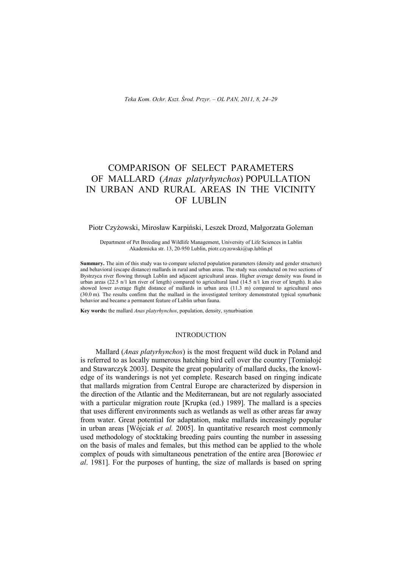# COMPARISON OF SELECT PARAMETERS OF MALLARD (*Anas platyrhynchos*) POPULLATION IN URBAN AND RURAL AREAS IN THE VICINITY OF LUBLIN

## Piotr Czyżowski, Mirosław Karpiński, Leszek Drozd, Małgorzata Goleman

Department of Pet Breeding and Wildlife Management, University of Life Sciences in Lublin Akademicka str. 13, 20-950 Lublin, piotr.czyzowski@up.lublin.pl

**Summary.** The aim of this study was to compare selected population parameters (density and gender structure) and behavioral (escape distance) mallards in rural and urban areas. The study was conducted on two sections of Bystrzyca river flowing through Lublin and adjacent agricultural areas. Higher average density was found in urban areas (22.5 n/1 km river of length) compared to agricultural land (14.5 n/1 km river of length). It also showed lower average flight distance of mallards in urban area (11.3 m) compared to agricultural ones (30.0 m). The results confirm that the mallard in the investigated territory demonstrated typical synurbanic behavior and became a permanent feature of Lublin urban fauna.

**Key words:** the mallard *Anas platyrhynchos*, population, density, synurbisation

## INTRODUCTION

Mallard (*Anas platyrhynchos*) is the most frequent wild duck in Poland and is referred to as locally numerous hatching bird cell over the country [Tomiałojć and Stawarczyk 2003]. Despite the great popularity of mallard ducks, the knowledge of its wanderings is not yet complete. Research based on ringing indicate that mallards migration from Central Europe are characterized by dispersion in the direction of the Atlantic and the Mediterranean, but are not regularly associated with a particular migration route [Krupka (ed.) 1989]. The mallard is a species that uses different environments such as wetlands as well as other areas far away from water. Great potential for adaptation, make mallards increasingly popular in urban areas [Wójciak *et al.* 2005]. In quantitative research most commonly used methodology of stocktaking breeding pairs counting the number in assessing on the basis of males and females, but this method can be applied to the whole complex of pouds with simultaneous penetration of the entire area [Borowiec *et al*. 1981]. For the purposes of hunting, the size of mallards is based on spring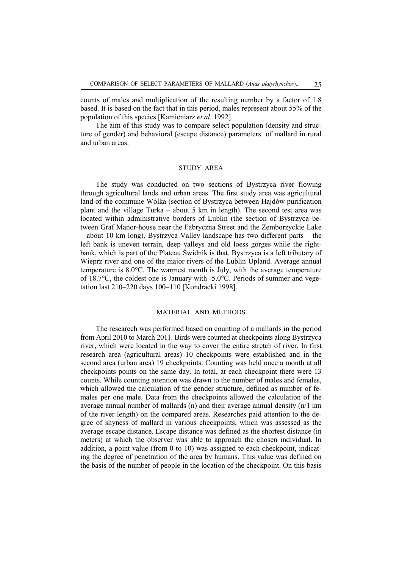counts of males and multiplication of the resulting number by a factor of 1.8 based. It is based on the fact that in this period, males represent about 55% of the population of this species [Kamieniarz *et al*. 1992].

The aim of this study was to compare select population (density and structure of gender) and behavioral (escape distance) parameters of mallard in rural and urban areas.

# STUDY AREA

The study was conducted on two sections of Bystrzyca river flowing through agricultural lands and urban areas. The first study area was agricultural land of the commune Wólka (section of Bystrzyca between Hajdów purification plant and the village Turka – about 5 km in length). The second test area was located within administrative borders of Lublin (the section of Bystrzyca between Graf Manor-house near the Fabryczna Street and the Zemborzyckie Lake – about 10 km long). Bystrzyca Valley landscape has two different parts – the left bank is uneven terrain, deep valleys and old loess gorges while the rightbank, which is part of the Plateau Świdnik is that. Bystrzyca is a left tributary of Wieprz river and one of the major rivers of the Lublin Upland. Average annual temperature is 8.0°C. The warmest month is July, with the average temperature of 18.7 $\degree$ C, the coldest one is January with -5.0 $\degree$ C. Periods of summer and vegetation last 210–220 days 100–110 [Kondracki 1998].

### MATERIAL AND METHODS

The researech was performed based on counting of a mallards in the period from April 2010 to March 2011. Birds were counted at checkpoints along Bystrzyca river, which were located in the way to cover the entire stretch of river. In first research area (agricultural areas) 10 checkpoints were established and in the second area (urban area) 19 checkpoints. Counting was held once a month at all checkpoints points on the same day. In total, at each checkpoint there were 13 counts. While counting attention was drawn to the number of males and females, which allowed the calculation of the gender structure, defined as number of females per one male. Data from the checkpoints allowed the calculation of the average annual number of mallards (n) and their average annual density (n/1 km of the river length) on the compared areas. Researches paid attention to the degree of shyness of mallard in various checkpoints, which was assessed as the average escape distance. Escape distance was defined as the shortest distance (in meters) at which the observer was able to approach the chosen individual. In addition, a point value (from 0 to 10) was assigned to each checkpoint, indicating the degree of penetration of the area by humans. This value was defined on the basis of the number of people in the location of the checkpoint. On this basis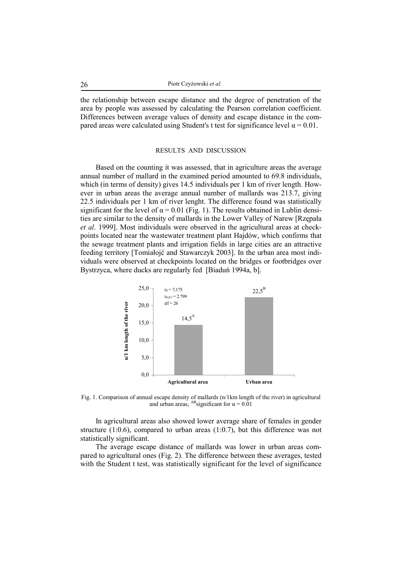the relationship between escape distance and the degree of penetration of the area by people was assessed by calculating the Pearson correlation coefficient. Differences between average values of density and escape distance in the compared areas were calculated using Student's t test for significance level  $\alpha = 0.01$ .

## RESULTS AND DISCUSSION

Based on the counting it was assessed, that in agriculture areas the average annual number of mallard in the examined period amounted to 69.8 individuals, which (in terms of density) gives 14.5 individuals per 1 km of river length. However in urban areas the average annual number of mallards was 213.7, giving 22.5 individuals per 1 km of river lenght. The difference found was statistically significant for the level of  $\alpha = 0.01$  (Fig. 1). The results obtained in Lublin densities are similar to the density of mallards in the Lower Valley of Narew [Rzępała *et al*. 1999]. Most individuals were observed in the agricultural areas at checkpoints located near the wastewater treatment plant Hajdów, which confirms that the sewage treatment plants and irrigation fields in large cities are an attractive feeding territory [Tomiałojć and Stawarczyk 2003]. In the urban area most individuals were observed at checkpoints located on the bridges or footbridges over Bystrzyca, where ducks are regularly fed [Biaduń 1994a, b].



Fig. 1. Comparison of annual escape density of mallards (n/1km length of the river) in agricultural and urban areas, <sup>AB</sup>significant for  $\alpha = 0.01$ 

In agricultural areas also showed lower average share of females in gender structure  $(1:0.6)$ , compared to urban areas  $(1:0.7)$ , but this difference was not statistically significant.

The average escape distance of mallards was lower in urban areas compared to agricultural ones (Fig. 2). The difference between these averages, tested with the Student t test, was statistically significant for the level of significance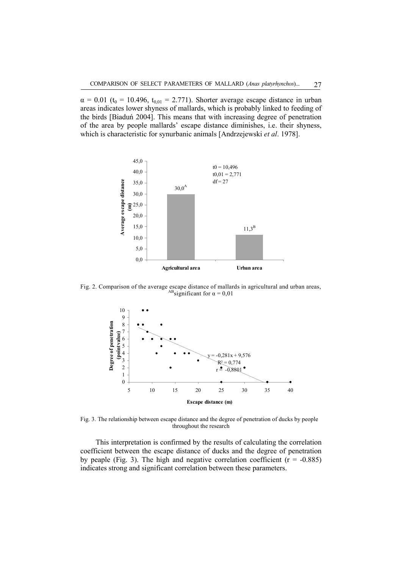$\alpha = 0.01$  (t<sub>0</sub> = 10.496, t<sub>0,01</sub> = 2.771). Shorter average escape distance in urban areas indicates lower shyness of mallards, which is probably linked to feeding of the birds [Biaduń 2004]. This means that with increasing degree of penetration of the area by people mallards' escape distance diminishes, i.e. their shyness, which is characteristic for synurbanic animals [Andrzejewski *et al*. 1978].



Fig. 2. Comparison of the average escape distance of mallards in agricultural and urban areas, ABsignificant for  $\alpha = 0.01$ 



Fig. 3. The relationship between escape distance and the degree of penetration of ducks by people throughout the research

This interpretation is confirmed by the results of calculating the correlation coefficient between the escape distance of ducks and the degree of penetration by peaple (Fig. 3). The high and negative correlation coefficient ( $r = -0.885$ ) indicates strong and significant correlation between these parameters.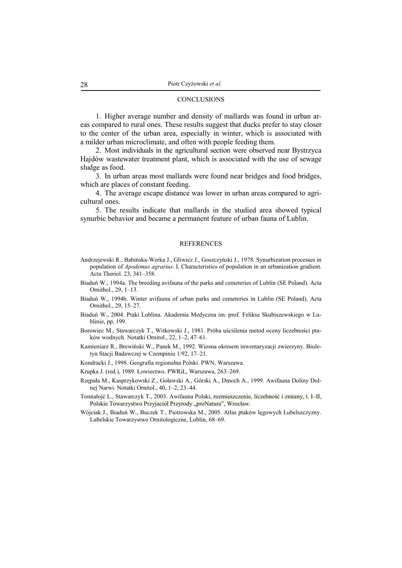#### **CONCLUSIONS**

1. Higher average number and density of mallards was found in urban areas compared to rural ones. These results suggest that ducks prefer to stay closer to the center of the urban area, especially in winter, which is associated with a milder urban microclimate, and often with people feeding them.

2. Most individuals in the agricultural section were observed near Bystrzyca Hajdów wastewater treatment plant, which is associated with the use of sewage sludge as food.

3. In urban areas most mallards were found near bridges and food bridges, which are places of constant feeding.

4. The average escape distance was lower in urban areas compared to agricultural ones.

5. The results indicate that mallards in the studied area showed typical synurbic behavior and became a permanent feature of urban fauna of Lublin.

#### REFERENCES

- Andrzejewski R., Babińska-Werka J., Gliwicz J., Goszczyński J., 1978. Synurbization processes in population of *Apodemus agrarius*. I. Characteristics of population in an urbanization gradient. Acta Theriol. 23, 341–358.
- Biaduń W., 1994a. The breeding avifauna of the parks and cemeteries of Lublin (SE Poland). Acta Ornithol., 29, 1–13.
- Biaduń W., 1994b. Winter avifauna of urban parks and cemeteries in Lublin (SE Poland). Acta Ornithol., 29, 15–27.
- Biaduń W., 2004. Ptaki Lublina. Akademia Medyczna im. prof. Feliksa Skubiszewskiego w Lublinie, pp. 199.
- Borowiec M., Stawarczyk T., Witkowski J., 1981. Próba uściślenia metod oceny liczebności ptaków wodnych. Notatki Ornitol., 22, 1–2, 47–61.
- Kamieniarz R., Brewiński W., Panek M., 1992. Wiosna okresem inwentaryzacji zwierzyny. Biuletyn Stacji Badawczej w Czempiniu 1/92, 17–21.
- Kondracki J., 1998. Geografia regionalna Polski. PWN, Warszawa.
- Krupka J. (red.), 1989. Łowiectwo. PWRiL, Warszawa, 263–269.
- Rzępała M., Kasprzykowski Z., Goławski A., Górski A., Dmoch A., 1999. Awifauna Doliny Dolnej Narwi. Notatki Ornitol., 40, 1–2, 23–44.
- Tomiałojć L., Stawarczyk T., 2003. Awifauna Polski, rozmieszczenie, liczebność i zmiany, t. I–II, Polskie Towarzystwo Przyjaciół Przyrody "proNatura", Wrocław.
- Wójciak J., Biaduń W., Buczek T., Piotrowska M., 2005. Atlas ptaków lęgowych Lubelszczyzny. Lubelskie Towarzystwo Ornitologiczne, Lublin, 68–69.